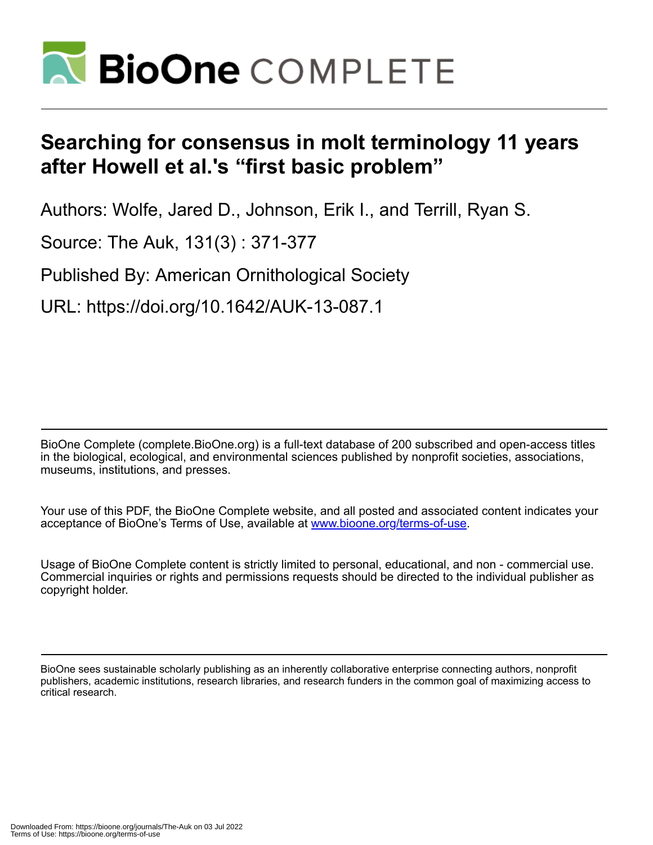

# **Searching for consensus in molt terminology 11 years after Howell et al.'s "first basic problem"**

Authors: Wolfe, Jared D., Johnson, Erik I., and Terrill, Ryan S.

Source: The Auk, 131(3) : 371-377

Published By: American Ornithological Society

URL: https://doi.org/10.1642/AUK-13-087.1

BioOne Complete (complete.BioOne.org) is a full-text database of 200 subscribed and open-access titles in the biological, ecological, and environmental sciences published by nonprofit societies, associations, museums, institutions, and presses.

Your use of this PDF, the BioOne Complete website, and all posted and associated content indicates your acceptance of BioOne's Terms of Use, available at www.bioone.org/terms-of-use.

Usage of BioOne Complete content is strictly limited to personal, educational, and non - commercial use. Commercial inquiries or rights and permissions requests should be directed to the individual publisher as copyright holder.

BioOne sees sustainable scholarly publishing as an inherently collaborative enterprise connecting authors, nonprofit publishers, academic institutions, research libraries, and research funders in the common goal of maximizing access to critical research.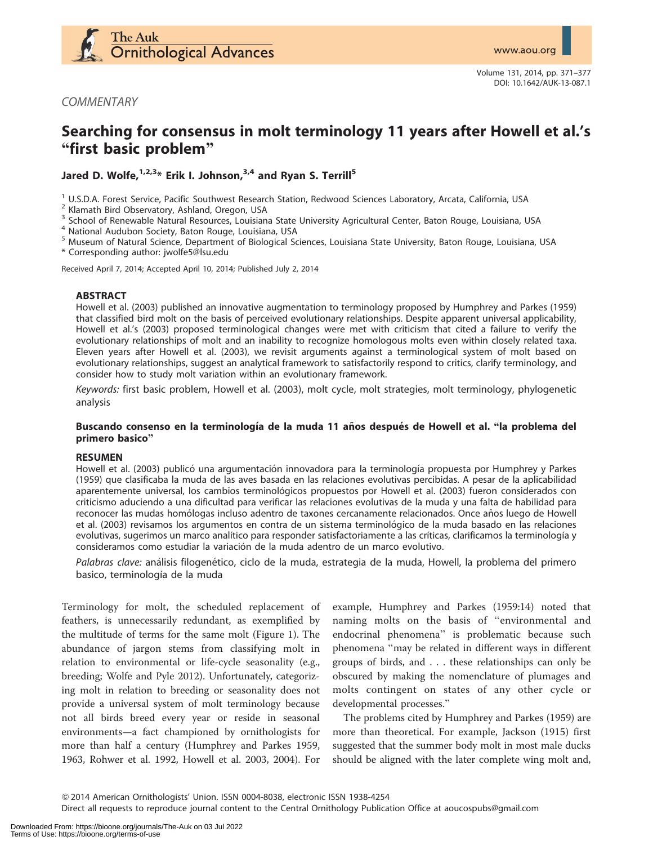

**COMMENTARY** 

# Searching for consensus in molt terminology 11 years after Howell et al.'s ''first basic problem''

Jared D. Wolfe,  $1,2,3*$  Erik I. Johnson,  $3,4$  and Ryan S. Terrill<sup>5</sup>

<sup>1</sup> U.S.D.A. Forest Service, Pacific Southwest Research Station, Redwood Sciences Laboratory, Arcata, California, USA<br>
<sup>2</sup> Klamath Bird Observatory, Ashland, Oregon, USA<br>
<sup>3</sup> School of Renewable Natural Resources, Louisia \* Corresponding author: jwolfe5@lsu.edu

Received April 7, 2014; Accepted April 10, 2014; Published July 2, 2014

# ABSTRACT

Howell et al. (2003) published an innovative augmentation to terminology proposed by Humphrey and Parkes (1959) that classified bird molt on the basis of perceived evolutionary relationships. Despite apparent universal applicability, Howell et al.'s (2003) proposed terminological changes were met with criticism that cited a failure to verify the evolutionary relationships of molt and an inability to recognize homologous molts even within closely related taxa. Eleven years after Howell et al. (2003), we revisit arguments against a terminological system of molt based on evolutionary relationships, suggest an analytical framework to satisfactorily respond to critics, clarify terminology, and consider how to study molt variation within an evolutionary framework.

Keywords: first basic problem, Howell et al. (2003), molt cycle, molt strategies, molt terminology, phylogenetic analysis

# Buscando consenso en la terminología de la muda 11 años después de Howell et al. "la problema del primero basico''

# RESUMEN

Howell et al. (2003) publicó una argumentación innovadora para la terminología propuesta por Humphrey y Parkes (1959) que clasificaba la muda de las aves basada en las relaciones evolutivas percibidas. A pesar de la aplicabilidad aparentemente universal, los cambios terminológicos propuestos por Howell et al. (2003) fueron considerados con criticismo aduciendo a una dificultad para verificar las relaciones evolutivas de la muda y una falta de habilidad para reconocer las mudas homólogas incluso adentro de taxones cercanamente relacionados. Once años luego de Howell et al. (2003) revisamos los argumentos en contra de un sistema terminológico de la muda basado en las relaciones evolutivas, sugerimos un marco analítico para responder satisfactoriamente a las críticas, clarificamos la terminología y consideramos como estudiar la variacion de la muda adentro de un marco evolutivo. ´

Palabras clave: análisis filogenético, ciclo de la muda, estrategia de la muda, Howell, la problema del primero basico, terminología de la muda

Terminology for molt, the scheduled replacement of feathers, is unnecessarily redundant, as exemplified by the multitude of terms for the same molt (Figure 1). The abundance of jargon stems from classifying molt in relation to environmental or life-cycle seasonality (e.g., breeding; Wolfe and Pyle 2012). Unfortunately, categorizing molt in relation to breeding or seasonality does not provide a universal system of molt terminology because not all birds breed every year or reside in seasonal environments—a fact championed by ornithologists for more than half a century (Humphrey and Parkes 1959, 1963, Rohwer et al. 1992, Howell et al. 2003, 2004). For

example, Humphrey and Parkes (1959:14) noted that naming molts on the basis of ''environmental and endocrinal phenomena'' is problematic because such phenomena ''may be related in different ways in different groups of birds, and . . . these relationships can only be obscured by making the nomenclature of plumages and molts contingent on states of any other cycle or developmental processes.''

The problems cited by Humphrey and Parkes (1959) are more than theoretical. For example, Jackson (1915) first suggested that the summer body molt in most male ducks should be aligned with the later complete wing molt and,

Q 2014 American Ornithologists' Union. ISSN 0004-8038, electronic ISSN 1938-4254

Direct all requests to reproduce journal content to the Central Ornithology Publication Office at aoucospubs@gmail.com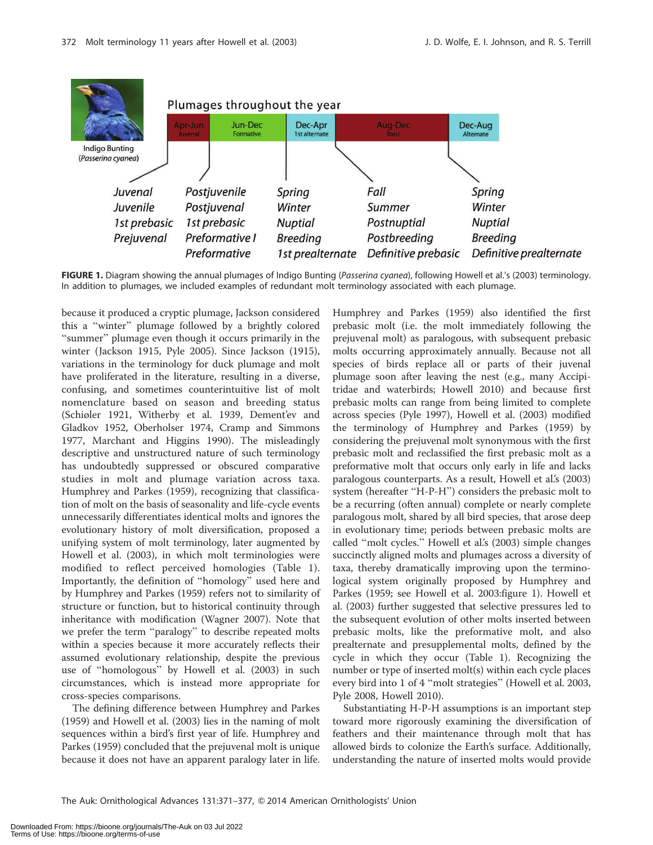

FIGURE 1. Diagram showing the annual plumages of Indigo Bunting (Passerina cyanea), following Howell et al.'s (2003) terminology. In addition to plumages, we included examples of redundant molt terminology associated with each plumage.

because it produced a cryptic plumage, Jackson considered this a ''winter'' plumage followed by a brightly colored ''summer'' plumage even though it occurs primarily in the winter (Jackson 1915, Pyle 2005). Since Jackson (1915), variations in the terminology for duck plumage and molt have proliferated in the literature, resulting in a diverse, confusing, and sometimes counterintuitive list of molt nomenclature based on season and breeding status (Schiøler 1921, Witherby et al. 1939, Dement'ev and Gladkov 1952, Oberholser 1974, Cramp and Simmons 1977, Marchant and Higgins 1990). The misleadingly descriptive and unstructured nature of such terminology has undoubtedly suppressed or obscured comparative studies in molt and plumage variation across taxa. Humphrey and Parkes (1959), recognizing that classification of molt on the basis of seasonality and life-cycle events unnecessarily differentiates identical molts and ignores the evolutionary history of molt diversification, proposed a unifying system of molt terminology, later augmented by Howell et al. (2003), in which molt terminologies were modified to reflect perceived homologies (Table 1). Importantly, the definition of ''homology'' used here and by Humphrey and Parkes (1959) refers not to similarity of structure or function, but to historical continuity through inheritance with modification (Wagner 2007). Note that we prefer the term ''paralogy'' to describe repeated molts within a species because it more accurately reflects their assumed evolutionary relationship, despite the previous use of ''homologous'' by Howell et al. (2003) in such circumstances, which is instead more appropriate for cross-species comparisons.

The defining difference between Humphrey and Parkes (1959) and Howell et al. (2003) lies in the naming of molt sequences within a bird's first year of life. Humphrey and Parkes (1959) concluded that the prejuvenal molt is unique because it does not have an apparent paralogy later in life.

Humphrey and Parkes (1959) also identified the first prebasic molt (i.e. the molt immediately following the prejuvenal molt) as paralogous, with subsequent prebasic molts occurring approximately annually. Because not all species of birds replace all or parts of their juvenal plumage soon after leaving the nest (e.g., many Accipitridae and waterbirds; Howell 2010) and because first prebasic molts can range from being limited to complete across species (Pyle 1997), Howell et al. (2003) modified the terminology of Humphrey and Parkes (1959) by considering the prejuvenal molt synonymous with the first prebasic molt and reclassified the first prebasic molt as a preformative molt that occurs only early in life and lacks paralogous counterparts. As a result, Howell et al.'s (2003) system (hereafter ''H-P-H'') considers the prebasic molt to be a recurring (often annual) complete or nearly complete paralogous molt, shared by all bird species, that arose deep in evolutionary time; periods between prebasic molts are called ''molt cycles.'' Howell et al.'s (2003) simple changes succinctly aligned molts and plumages across a diversity of taxa, thereby dramatically improving upon the terminological system originally proposed by Humphrey and Parkes (1959; see Howell et al. 2003:figure 1). Howell et al. (2003) further suggested that selective pressures led to the subsequent evolution of other molts inserted between prebasic molts, like the preformative molt, and also prealternate and presupplemental molts, defined by the cycle in which they occur (Table 1). Recognizing the number or type of inserted molt(s) within each cycle places every bird into 1 of 4 ''molt strategies'' (Howell et al. 2003, Pyle 2008, Howell 2010).

Substantiating H-P-H assumptions is an important step toward more rigorously examining the diversification of feathers and their maintenance through molt that has allowed birds to colonize the Earth's surface. Additionally, understanding the nature of inserted molts would provide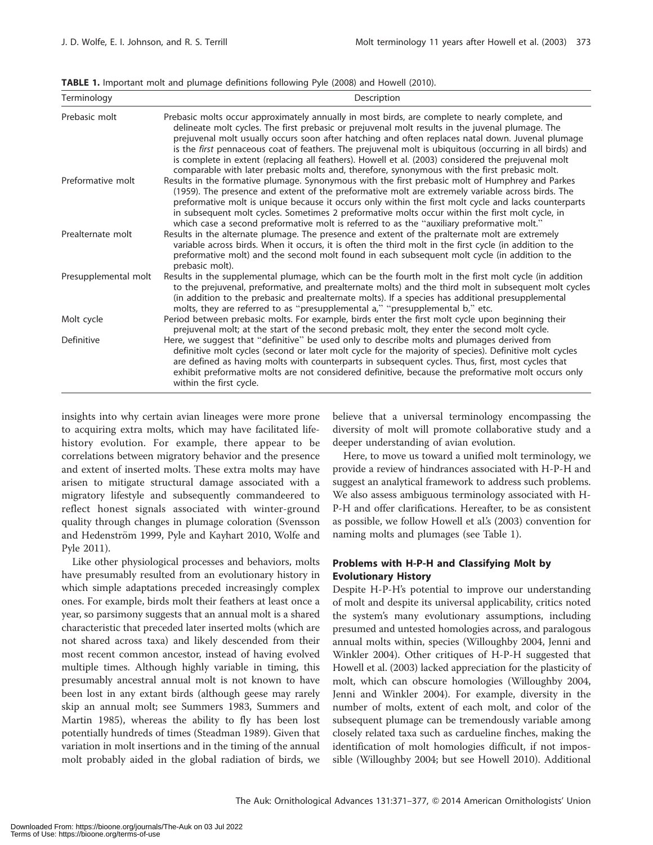| TABLE 1. Important molt and plumage definitions following Pyle (2008) and Howell (2010). |  |  |  |
|------------------------------------------------------------------------------------------|--|--|--|
|------------------------------------------------------------------------------------------|--|--|--|

| Terminology          | Description                                                                                                                                                                                                                                                                                                                                                                                                                                                                                                                                                                                                                  |
|----------------------|------------------------------------------------------------------------------------------------------------------------------------------------------------------------------------------------------------------------------------------------------------------------------------------------------------------------------------------------------------------------------------------------------------------------------------------------------------------------------------------------------------------------------------------------------------------------------------------------------------------------------|
| Prebasic molt        | Prebasic molts occur approximately annually in most birds, are complete to nearly complete, and<br>delineate molt cycles. The first prebasic or prejuvenal molt results in the juvenal plumage. The<br>prejuvenal molt usually occurs soon after hatching and often replaces natal down. Juvenal plumage<br>is the first pennaceous coat of feathers. The prejuvenal molt is ubiquitous (occurring in all birds) and<br>is complete in extent (replacing all feathers). Howell et al. (2003) considered the prejuvenal molt<br>comparable with later prebasic molts and, therefore, synonymous with the first prebasic molt. |
| Preformative molt    | Results in the formative plumage. Synonymous with the first prebasic molt of Humphrey and Parkes<br>(1959). The presence and extent of the preformative molt are extremely variable across birds. The<br>preformative molt is unique because it occurs only within the first molt cycle and lacks counterparts<br>in subsequent molt cycles. Sometimes 2 preformative molts occur within the first molt cycle, in<br>which case a second preformative molt is referred to as the "auxiliary preformative molt."                                                                                                              |
| Prealternate molt    | Results in the alternate plumage. The presence and extent of the pralternate molt are extremely<br>variable across birds. When it occurs, it is often the third molt in the first cycle (in addition to the<br>preformative molt) and the second molt found in each subsequent molt cycle (in addition to the<br>prebasic molt).                                                                                                                                                                                                                                                                                             |
| Presupplemental molt | Results in the supplemental plumage, which can be the fourth molt in the first molt cycle (in addition<br>to the prejuvenal, preformative, and prealternate molts) and the third molt in subsequent molt cycles<br>(in addition to the prebasic and prealternate molts). If a species has additional presupplemental<br>molts, they are referred to as "presupplemental a," "presupplemental b," etc.                                                                                                                                                                                                                        |
| Molt cycle           | Period between prebasic molts. For example, birds enter the first molt cycle upon beginning their<br>prejuvenal molt; at the start of the second prebasic molt, they enter the second molt cycle.                                                                                                                                                                                                                                                                                                                                                                                                                            |
| Definitive           | Here, we suggest that "definitive" be used only to describe molts and plumages derived from<br>definitive molt cycles (second or later molt cycle for the majority of species). Definitive molt cycles<br>are defined as having molts with counterparts in subsequent cycles. Thus, first, most cycles that<br>exhibit preformative molts are not considered definitive, because the preformative molt occurs only<br>within the first cycle.                                                                                                                                                                                |

insights into why certain avian lineages were more prone to acquiring extra molts, which may have facilitated lifehistory evolution. For example, there appear to be correlations between migratory behavior and the presence and extent of inserted molts. These extra molts may have arisen to mitigate structural damage associated with a migratory lifestyle and subsequently commandeered to reflect honest signals associated with winter-ground quality through changes in plumage coloration (Svensson and Hedenström 1999, Pyle and Kayhart 2010, Wolfe and Pyle 2011).

Like other physiological processes and behaviors, molts have presumably resulted from an evolutionary history in which simple adaptations preceded increasingly complex ones. For example, birds molt their feathers at least once a year, so parsimony suggests that an annual molt is a shared characteristic that preceded later inserted molts (which are not shared across taxa) and likely descended from their most recent common ancestor, instead of having evolved multiple times. Although highly variable in timing, this presumably ancestral annual molt is not known to have been lost in any extant birds (although geese may rarely skip an annual molt; see Summers 1983, Summers and Martin 1985), whereas the ability to fly has been lost potentially hundreds of times (Steadman 1989). Given that variation in molt insertions and in the timing of the annual molt probably aided in the global radiation of birds, we

believe that a universal terminology encompassing the diversity of molt will promote collaborative study and a deeper understanding of avian evolution.

Here, to move us toward a unified molt terminology, we provide a review of hindrances associated with H-P-H and suggest an analytical framework to address such problems. We also assess ambiguous terminology associated with H-P-H and offer clarifications. Hereafter, to be as consistent as possible, we follow Howell et al.'s (2003) convention for naming molts and plumages (see Table 1).

# Problems with H-P-H and Classifying Molt by Evolutionary History

Despite H-P-H's potential to improve our understanding of molt and despite its universal applicability, critics noted the system's many evolutionary assumptions, including presumed and untested homologies across, and paralogous annual molts within, species (Willoughby 2004, Jenni and Winkler 2004). Other critiques of H-P-H suggested that Howell et al. (2003) lacked appreciation for the plasticity of molt, which can obscure homologies (Willoughby 2004, Jenni and Winkler 2004). For example, diversity in the number of molts, extent of each molt, and color of the subsequent plumage can be tremendously variable among closely related taxa such as cardueline finches, making the identification of molt homologies difficult, if not impossible (Willoughby 2004; but see Howell 2010). Additional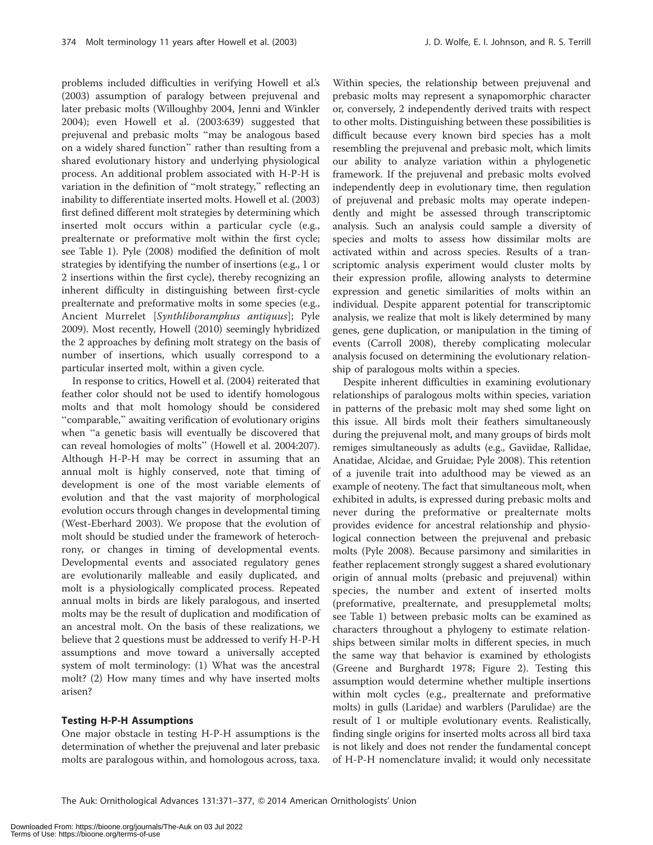problems included difficulties in verifying Howell et al.'s (2003) assumption of paralogy between prejuvenal and later prebasic molts (Willoughby 2004, Jenni and Winkler 2004); even Howell et al. (2003:639) suggested that prejuvenal and prebasic molts ''may be analogous based on a widely shared function'' rather than resulting from a shared evolutionary history and underlying physiological process. An additional problem associated with H-P-H is variation in the definition of "molt strategy," reflecting an inability to differentiate inserted molts. Howell et al. (2003) first defined different molt strategies by determining which inserted molt occurs within a particular cycle (e.g., prealternate or preformative molt within the first cycle; see Table 1). Pyle (2008) modified the definition of molt strategies by identifying the number of insertions (e.g., 1 or 2 insertions within the first cycle), thereby recognizing an inherent difficulty in distinguishing between first-cycle prealternate and preformative molts in some species (e.g., Ancient Murrelet [Synthliboramphus antiquus]; Pyle 2009). Most recently, Howell (2010) seemingly hybridized the 2 approaches by defining molt strategy on the basis of number of insertions, which usually correspond to a particular inserted molt, within a given cycle.

In response to critics, Howell et al. (2004) reiterated that feather color should not be used to identify homologous molts and that molt homology should be considered ''comparable,'' awaiting verification of evolutionary origins when ''a genetic basis will eventually be discovered that can reveal homologies of molts'' (Howell et al. 2004:207). Although H-P-H may be correct in assuming that an annual molt is highly conserved, note that timing of development is one of the most variable elements of evolution and that the vast majority of morphological evolution occurs through changes in developmental timing (West-Eberhard 2003). We propose that the evolution of molt should be studied under the framework of heterochrony, or changes in timing of developmental events. Developmental events and associated regulatory genes are evolutionarily malleable and easily duplicated, and molt is a physiologically complicated process. Repeated annual molts in birds are likely paralogous, and inserted molts may be the result of duplication and modification of an ancestral molt. On the basis of these realizations, we believe that 2 questions must be addressed to verify H-P-H assumptions and move toward a universally accepted system of molt terminology: (1) What was the ancestral molt? (2) How many times and why have inserted molts arisen?

# Testing H-P-H Assumptions

One major obstacle in testing H-P-H assumptions is the determination of whether the prejuvenal and later prebasic molts are paralogous within, and homologous across, taxa.

Within species, the relationship between prejuvenal and prebasic molts may represent a synapomorphic character or, conversely, 2 independently derived traits with respect to other molts. Distinguishing between these possibilities is difficult because every known bird species has a molt resembling the prejuvenal and prebasic molt, which limits our ability to analyze variation within a phylogenetic framework. If the prejuvenal and prebasic molts evolved independently deep in evolutionary time, then regulation of prejuvenal and prebasic molts may operate independently and might be assessed through transcriptomic analysis. Such an analysis could sample a diversity of species and molts to assess how dissimilar molts are activated within and across species. Results of a transcriptomic analysis experiment would cluster molts by their expression profile, allowing analysts to determine expression and genetic similarities of molts within an individual. Despite apparent potential for transcriptomic analysis, we realize that molt is likely determined by many genes, gene duplication, or manipulation in the timing of events (Carroll 2008), thereby complicating molecular analysis focused on determining the evolutionary relationship of paralogous molts within a species.

Despite inherent difficulties in examining evolutionary relationships of paralogous molts within species, variation in patterns of the prebasic molt may shed some light on this issue. All birds molt their feathers simultaneously during the prejuvenal molt, and many groups of birds molt remiges simultaneously as adults (e.g., Gaviidae, Rallidae, Anatidae, Alcidae, and Gruidae; Pyle 2008). This retention of a juvenile trait into adulthood may be viewed as an example of neoteny. The fact that simultaneous molt, when exhibited in adults, is expressed during prebasic molts and never during the preformative or prealternate molts provides evidence for ancestral relationship and physiological connection between the prejuvenal and prebasic molts (Pyle 2008). Because parsimony and similarities in feather replacement strongly suggest a shared evolutionary origin of annual molts (prebasic and prejuvenal) within species, the number and extent of inserted molts (preformative, prealternate, and presupplemetal molts; see Table 1) between prebasic molts can be examined as characters throughout a phylogeny to estimate relationships between similar molts in different species, in much the same way that behavior is examined by ethologists (Greene and Burghardt 1978; Figure 2). Testing this assumption would determine whether multiple insertions within molt cycles (e.g., prealternate and preformative molts) in gulls (Laridae) and warblers (Parulidae) are the result of 1 or multiple evolutionary events. Realistically, finding single origins for inserted molts across all bird taxa is not likely and does not render the fundamental concept of H-P-H nomenclature invalid; it would only necessitate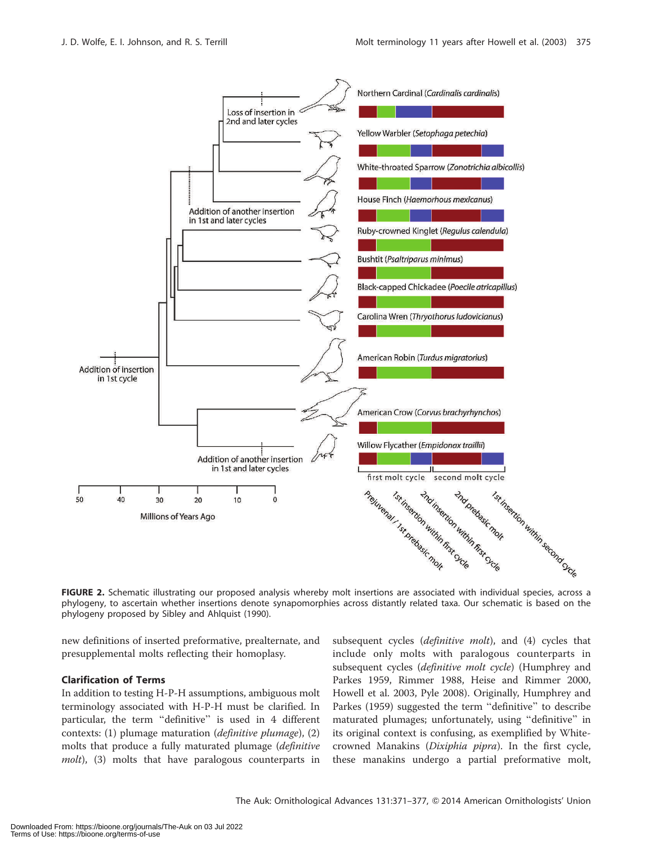

FIGURE 2. Schematic illustrating our proposed analysis whereby molt insertions are associated with individual species, across a phylogeny, to ascertain whether insertions denote synapomorphies across distantly related taxa. Our schematic is based on the phylogeny proposed by Sibley and Ahlquist (1990).

new definitions of inserted preformative, prealternate, and presupplemental molts reflecting their homoplasy.

# Clarification of Terms

In addition to testing H-P-H assumptions, ambiguous molt terminology associated with H-P-H must be clarified. In particular, the term ''definitive'' is used in 4 different contexts: (1) plumage maturation (definitive plumage), (2) molts that produce a fully maturated plumage (definitive molt), (3) molts that have paralogous counterparts in

subsequent cycles (*definitive molt*), and (4) cycles that include only molts with paralogous counterparts in subsequent cycles (*definitive molt cycle*) (Humphrey and Parkes 1959, Rimmer 1988, Heise and Rimmer 2000, Howell et al. 2003, Pyle 2008). Originally, Humphrey and Parkes (1959) suggested the term ''definitive'' to describe maturated plumages; unfortunately, using ''definitive'' in its original context is confusing, as exemplified by Whitecrowned Manakins (Dixiphia pipra). In the first cycle, these manakins undergo a partial preformative molt,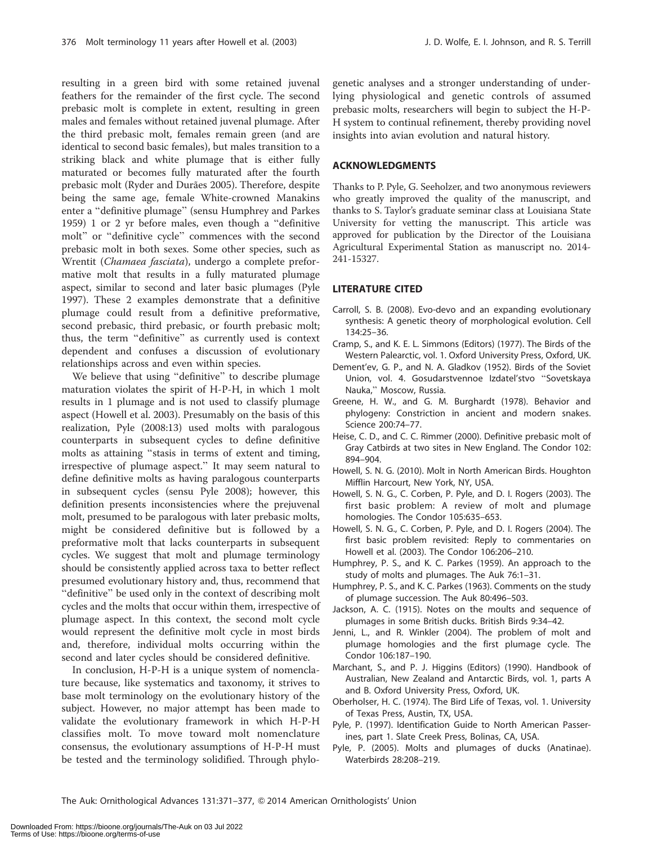resulting in a green bird with some retained juvenal feathers for the remainder of the first cycle. The second prebasic molt is complete in extent, resulting in green males and females without retained juvenal plumage. After the third prebasic molt, females remain green (and are identical to second basic females), but males transition to a striking black and white plumage that is either fully maturated or becomes fully maturated after the fourth prebasic molt (Ryder and Durães 2005). Therefore, despite being the same age, female White-crowned Manakins enter a ''definitive plumage'' (sensu Humphrey and Parkes 1959) 1 or 2 yr before males, even though a ''definitive molt'' or ''definitive cycle'' commences with the second prebasic molt in both sexes. Some other species, such as Wrentit (Chamaea fasciata), undergo a complete preformative molt that results in a fully maturated plumage aspect, similar to second and later basic plumages (Pyle 1997). These 2 examples demonstrate that a definitive plumage could result from a definitive preformative, second prebasic, third prebasic, or fourth prebasic molt; thus, the term ''definitive'' as currently used is context dependent and confuses a discussion of evolutionary relationships across and even within species.

We believe that using ''definitive'' to describe plumage maturation violates the spirit of H-P-H, in which 1 molt results in 1 plumage and is not used to classify plumage aspect (Howell et al. 2003). Presumably on the basis of this realization, Pyle (2008:13) used molts with paralogous counterparts in subsequent cycles to define definitive molts as attaining ''stasis in terms of extent and timing, irrespective of plumage aspect.'' It may seem natural to define definitive molts as having paralogous counterparts in subsequent cycles (sensu Pyle 2008); however, this definition presents inconsistencies where the prejuvenal molt, presumed to be paralogous with later prebasic molts, might be considered definitive but is followed by a preformative molt that lacks counterparts in subsequent cycles. We suggest that molt and plumage terminology should be consistently applied across taxa to better reflect presumed evolutionary history and, thus, recommend that ''definitive'' be used only in the context of describing molt cycles and the molts that occur within them, irrespective of plumage aspect. In this context, the second molt cycle would represent the definitive molt cycle in most birds and, therefore, individual molts occurring within the second and later cycles should be considered definitive.

In conclusion, H-P-H is a unique system of nomenclature because, like systematics and taxonomy, it strives to base molt terminology on the evolutionary history of the subject. However, no major attempt has been made to validate the evolutionary framework in which H-P-H classifies molt. To move toward molt nomenclature consensus, the evolutionary assumptions of H-P-H must be tested and the terminology solidified. Through phylogenetic analyses and a stronger understanding of underlying physiological and genetic controls of assumed prebasic molts, researchers will begin to subject the H-P-H system to continual refinement, thereby providing novel insights into avian evolution and natural history.

# ACKNOWLEDGMENTS

Thanks to P. Pyle, G. Seeholzer, and two anonymous reviewers who greatly improved the quality of the manuscript, and thanks to S. Taylor's graduate seminar class at Louisiana State University for vetting the manuscript. This article was approved for publication by the Director of the Louisiana Agricultural Experimental Station as manuscript no. 2014- 241-15327.

# LITERATURE CITED

- Carroll, S. B. (2008). Evo-devo and an expanding evolutionary synthesis: A genetic theory of morphological evolution. Cell 134:25–36.
- Cramp, S., and K. E. L. Simmons (Editors) (1977). The Birds of the Western Palearctic, vol. 1. Oxford University Press, Oxford, UK.
- Dement'ev, G. P., and N. A. Gladkov (1952). Birds of the Soviet Union, vol. 4. Gosudarstvennoe Izdatel'stvo ''Sovetskaya Nauka,'' Moscow, Russia.
- Greene, H. W., and G. M. Burghardt (1978). Behavior and phylogeny: Constriction in ancient and modern snakes. Science 200:74–77.
- Heise, C. D., and C. C. Rimmer (2000). Definitive prebasic molt of Gray Catbirds at two sites in New England. The Condor 102: 894–904.
- Howell, S. N. G. (2010). Molt in North American Birds. Houghton Mifflin Harcourt, New York, NY, USA.
- Howell, S. N. G., C. Corben, P. Pyle, and D. I. Rogers (2003). The first basic problem: A review of molt and plumage homologies. The Condor 105:635–653.
- Howell, S. N. G., C. Corben, P. Pyle, and D. I. Rogers (2004). The first basic problem revisited: Reply to commentaries on Howell et al. (2003). The Condor 106:206–210.
- Humphrey, P. S., and K. C. Parkes (1959). An approach to the study of molts and plumages. The Auk 76:1–31.
- Humphrey, P. S., and K. C. Parkes (1963). Comments on the study of plumage succession. The Auk 80:496–503.
- Jackson, A. C. (1915). Notes on the moults and sequence of plumages in some British ducks. British Birds 9:34–42.
- Jenni, L., and R. Winkler (2004). The problem of molt and plumage homologies and the first plumage cycle. The Condor 106:187–190.
- Marchant, S., and P. J. Higgins (Editors) (1990). Handbook of Australian, New Zealand and Antarctic Birds, vol. 1, parts A and B. Oxford University Press, Oxford, UK.
- Oberholser, H. C. (1974). The Bird Life of Texas, vol. 1. University of Texas Press, Austin, TX, USA.
- Pyle, P. (1997). Identification Guide to North American Passerines, part 1. Slate Creek Press, Bolinas, CA, USA.
- Pyle, P. (2005). Molts and plumages of ducks (Anatinae). Waterbirds 28:208–219.

The Auk: Ornithological Advances 131:371–377, Q 2014 American Ornithologists' Union